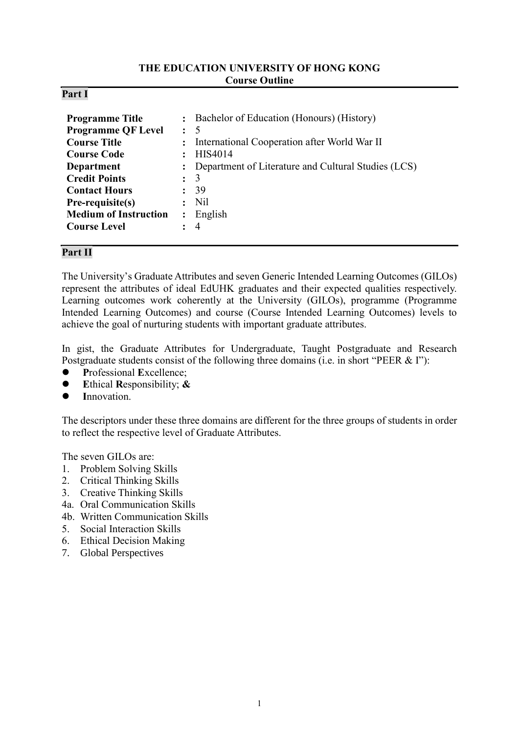### **THE EDUCATION UNIVERSITY OF HONG KONG Course Outline**

| Part |
|------|
|------|

| <b>Programme Title</b><br><b>Programme QF Level</b><br><b>Course Title</b><br><b>Course Code</b><br><b>Department</b><br><b>Credit Points</b><br><b>Contact Hours</b><br>Pre-requisite(s)<br><b>Medium of Instruction</b><br><b>Course Level</b> | $\ddot{\cdot}$<br>$\ddot{\cdot}$<br>$\ddot{\cdot}$<br>$\ddot{\phantom{a}}$ | : Bachelor of Education (Honours) (History)<br>- 5<br>International Cooperation after World War II<br>HIS4014<br>Department of Literature and Cultural Studies (LCS)<br>3<br>39<br>N <sub>il</sub><br>English<br>$\overline{4}$ |
|--------------------------------------------------------------------------------------------------------------------------------------------------------------------------------------------------------------------------------------------------|----------------------------------------------------------------------------|---------------------------------------------------------------------------------------------------------------------------------------------------------------------------------------------------------------------------------|
|--------------------------------------------------------------------------------------------------------------------------------------------------------------------------------------------------------------------------------------------------|----------------------------------------------------------------------------|---------------------------------------------------------------------------------------------------------------------------------------------------------------------------------------------------------------------------------|

## **Part II**

The University's Graduate Attributes and seven Generic Intended Learning Outcomes (GILOs) represent the attributes of ideal EdUHK graduates and their expected qualities respectively. Learning outcomes work coherently at the University (GILOs), programme (Programme Intended Learning Outcomes) and course (Course Intended Learning Outcomes) levels to achieve the goal of nurturing students with important graduate attributes.

In gist, the Graduate Attributes for Undergraduate, Taught Postgraduate and Research Postgraduate students consist of the following three domains (i.e. in short "PEER & I"):

- **P**rofessional **E**xcellence;
- **E**thical **R**esponsibility; **&**
- **I**nnovation.

The descriptors under these three domains are different for the three groups of students in order to reflect the respective level of Graduate Attributes.

The seven GILOs are:

- 1. Problem Solving Skills
- 2. Critical Thinking Skills
- 3. Creative Thinking Skills
- 4a. Oral Communication Skills
- 4b. Written Communication Skills
- 5. Social Interaction Skills
- 6. Ethical Decision Making
- 7. Global Perspectives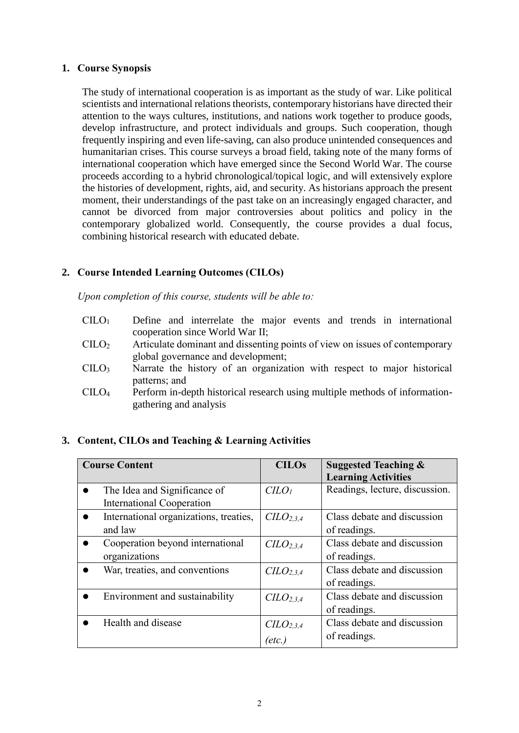### **1. Course Synopsis**

The study of international cooperation is as important as the study of war. Like political scientists and international relations theorists, contemporary historians have directed their attention to the ways cultures, institutions, and nations work together to produce goods, develop infrastructure, and protect individuals and groups. Such cooperation, though frequently inspiring and even life-saving, can also produce unintended consequences and humanitarian crises. This course surveys a broad field, taking note of the many forms of international cooperation which have emerged since the Second World War. The course proceeds according to a hybrid chronological/topical logic, and will extensively explore the histories of development, rights, aid, and security. As historians approach the present moment, their understandings of the past take on an increasingly engaged character, and cannot be divorced from major controversies about politics and policy in the contemporary globalized world. Consequently, the course provides a dual focus, combining historical research with educated debate.

## **2. Course Intended Learning Outcomes (CILOs)**

*Upon completion of this course, students will be able to:*

- CILO<sup>1</sup> Define and interrelate the major events and trends in international cooperation since World War II;
- CILO<sup>2</sup> Articulate dominant and dissenting points of view on issues of contemporary global governance and development;
- CILO<sup>3</sup> Narrate the history of an organization with respect to major historical patterns; and
- CILO<sup>4</sup> Perform in-depth historical research using multiple methods of informationgathering and analysis

### **3. Content, CILOs and Teaching & Learning Activities**

| <b>Course Content</b>                               | <b>CILOs</b>                      | <b>Suggested Teaching &amp;</b><br><b>Learning Activities</b> |
|-----------------------------------------------------|-----------------------------------|---------------------------------------------------------------|
| The Idea and Significance of                        | C <sub>LO<sub>l</sub></sub>       | Readings, lecture, discussion.                                |
| <b>International Cooperation</b>                    |                                   |                                                               |
| International organizations, treaties,<br>$\bullet$ | C <sub>LO</sub> <sub>2.3.4</sub>  | Class debate and discussion                                   |
| and law                                             |                                   | of readings.                                                  |
| Cooperation beyond international                    | C <sub>L</sub> O <sub>2,3,4</sub> | Class debate and discussion                                   |
| organizations                                       |                                   | of readings.                                                  |
| War, treaties, and conventions                      | C <sub>L</sub> O <sub>2,3,4</sub> | Class debate and discussion                                   |
|                                                     |                                   | of readings.                                                  |
| Environment and sustainability                      | C <sub>L</sub> O <sub>2,3,4</sub> | Class debate and discussion                                   |
|                                                     |                                   | of readings.                                                  |
| Health and disease                                  | C <sub>L</sub> O <sub>2,3,4</sub> | Class debate and discussion                                   |
|                                                     | (etc.)                            | of readings.                                                  |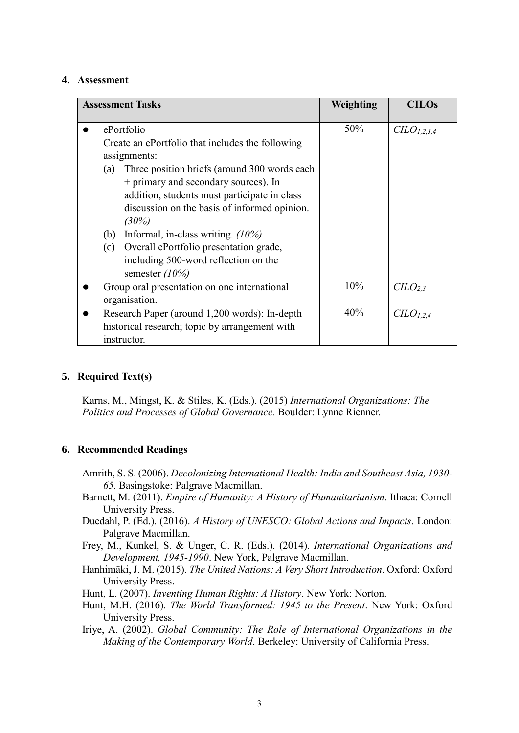#### **4. Assessment**

| <b>Assessment Tasks</b>                                                                                                                                                                                                                                                                                                                      | Weighting | <b>CILOs</b>                    |
|----------------------------------------------------------------------------------------------------------------------------------------------------------------------------------------------------------------------------------------------------------------------------------------------------------------------------------------------|-----------|---------------------------------|
| ePortfolio                                                                                                                                                                                                                                                                                                                                   | 50%       | CLO <sub>1,2,3,4</sub>          |
| Create an ePortfolio that includes the following<br>assignments:                                                                                                                                                                                                                                                                             |           |                                 |
| Three position briefs (around 300 words each<br>(a)<br>+ primary and secondary sources). In<br>addition, students must participate in class<br>discussion on the basis of informed opinion.<br>(30%)<br>Informal, in-class writing. $(10\%)$<br>(b)<br>Overall ePortfolio presentation grade,<br>(c)<br>including 500-word reflection on the |           |                                 |
| semester $(10\%)$<br>Group oral presentation on one international                                                                                                                                                                                                                                                                            | 10%       | C <sub>L</sub> O <sub>2,3</sub> |
| organisation.                                                                                                                                                                                                                                                                                                                                |           |                                 |
| Research Paper (around 1,200 words): In-depth<br>historical research; topic by arrangement with<br>instructor.                                                                                                                                                                                                                               | 40%       | CLO <sub>1,2,4</sub>            |

### **5. Required Text(s)**

Karns, M., Mingst, K. & Stiles, K. (Eds.). (2015) *International Organizations: The Politics and Processes of Global Governance.* Boulder: Lynne Rienner.

### **6. Recommended Readings**

- Amrith, S. S. (2006). *Decolonizing International Health: India and Southeast Asia, 1930- 65*. Basingstoke: Palgrave Macmillan.
- Barnett, M. (2011). *Empire of Humanity: A History of Humanitarianism*. Ithaca: Cornell University Press.
- Duedahl, P. (Ed.). (2016). *A History of UNESCO: Global Actions and Impacts*. London: Palgrave Macmillan.
- Frey, M., Kunkel, S. & Unger, C. R. (Eds.). (2014). *International Organizations and Development, 1945-1990*. New York, Palgrave Macmillan.
- Hanhimäki, J. M. (2015). *The United Nations: A Very Short Introduction*. Oxford: Oxford University Press.

Hunt, L. (2007). *Inventing Human Rights: A History*. New York: Norton.

- Hunt, M.H. (2016). *The World Transformed: 1945 to the Present*. New York: Oxford University Press.
- Iriye, A. (2002). *Global Community: The Role of International Organizations in the Making of the Contemporary World*. Berkeley: University of California Press.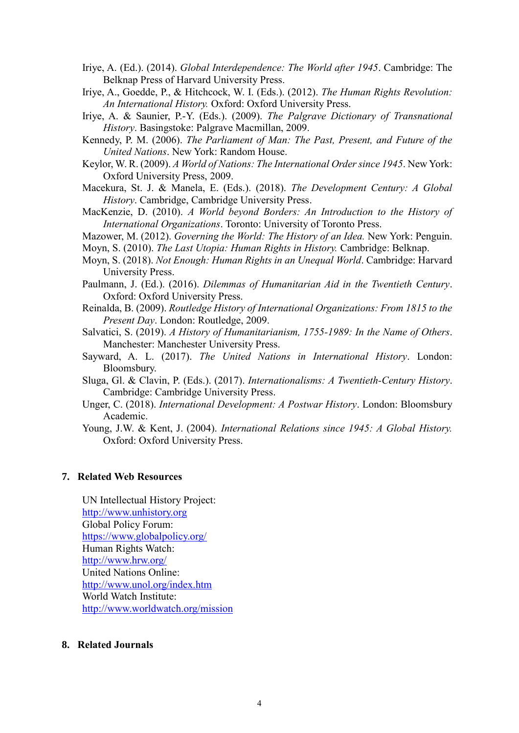- Iriye, A. (Ed.). (2014). *Global Interdependence: The World after 1945*. Cambridge: The Belknap Press of Harvard University Press.
- Iriye, A., Goedde, P., & Hitchcock, W. I. (Eds.). (2012). *The Human Rights Revolution: An International History.* Oxford: Oxford University Press.
- Iriye, A. & Saunier, P.-Y. (Eds.). (2009). *The Palgrave Dictionary of Transnational History*. Basingstoke: Palgrave Macmillan, 2009.
- Kennedy, P. M. (2006). *The Parliament of Man: The Past, Present, and Future of the United Nations*. New York: Random House.
- Keylor, W. R. (2009). *A World of Nations: The International Order since 1945*. New York: Oxford University Press, 2009.
- Macekura, St. J. & Manela, E. (Eds.). (2018). *The Development Century: A Global History*. Cambridge, Cambridge University Press.
- MacKenzie, D. (2010). *A World beyond Borders: An Introduction to the History of International Organizations*. Toronto: University of Toronto Press.
- Mazower, M. (2012). *Governing the World: The History of an Idea.* New York: Penguin.
- Moyn, S. (2010). *The Last Utopia: Human Rights in History.* Cambridge: Belknap.
- Moyn, S. (2018). *Not Enough: Human Rights in an Unequal World*. Cambridge: Harvard University Press.
- Paulmann, J. (Ed.). (2016). *Dilemmas of Humanitarian Aid in the Twentieth Century*. Oxford: Oxford University Press.
- Reinalda, B. (2009). *Routledge History of International Organizations: From 1815 to the Present Day*. London: Routledge, 2009.
- Salvatici, S. (2019). *A History of Humanitarianism, 1755-1989: In the Name of Others*. Manchester: Manchester University Press.
- Sayward, A. L. (2017). *The United Nations in International History*. London: Bloomsbury.
- Sluga, Gl. & Clavin, P. (Eds.). (2017). *Internationalisms: A Twentieth-Century History*. Cambridge: Cambridge University Press.
- Unger, C. (2018). *International Development: A Postwar History*. London: Bloomsbury Academic.
- Young, J.W. & Kent, J. (2004). *International Relations since 1945: A Global History.*  Oxford: Oxford University Press.

#### **7. Related Web Resources**

UN Intellectual History Project: [http://www.unhistory.org](http://www.unhistory.org/) Global Policy Forum: https://www.globalpolicy.org/ Human Rights Watch: http://www.hrw.org/ United Nations Online: http://www.unol.org/index.htm World Watch Institute: http://www.worldwatch.org/mission

#### **8. Related Journals**